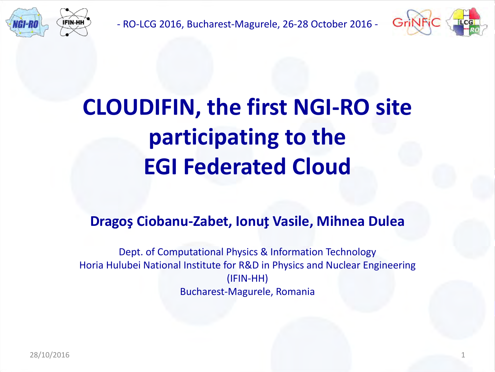

- RO-LCG 2016, Bucharest-Magurele, 26-28 October 2016 -



# **CLOUDIFIN, the first NGI-RO site participating to the EGI Federated Cloud**

### **DragoşCiobanu-Zabet, IonuţVasile, Mihnea Dulea**

Dept. of Computational Physics & Information Technology Horia Hulubei National Institute for R&D in Physics and Nuclear Engineering (IFIN-HH) Bucharest-Magurele, Romania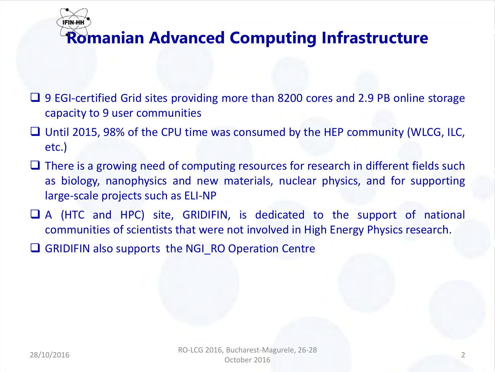# **IFIN-HH Romanian Advanced Computing Infrastructure**

- 9 EGI-certified Grid sites providing more than 8200 cores and 2.9 PB online storage capacity to 9 user communities
- $\Box$  Until 2015, 98% of the CPU time was consumed by the HEP community (WLCG, ILC, etc.)
- $\Box$  There is a growing need of computing resources for research in different fields such as biology, nanophysics and new materials, nuclear physics, and for supporting large-scale projects such as ELI-NP
- A (HTC and HPC) site, GRIDIFIN, is dedicated to the support of national communities of scientists that were not involved in High Energy Physics research.
- GRIDIFIN also supports the NGI RO Operation Centre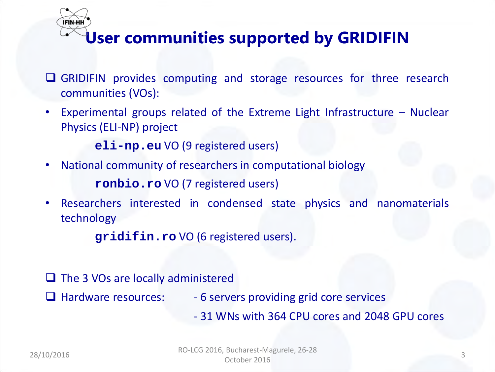

# **User communities supported by GRIDIFIN**

- $\Box$  GRIDIFIN provides computing and storage resources for three research communities (VOs):
- Experimental groups related of the Extreme Light Infrastructure Nuclear Physics (ELI-NP) project

**eli-np.eu** VO (9 registered users)

• National community of researchers in computational biology

**ronbio.ro** VO (7 registered users)

• Researchers interested in condensed state physics and nanomaterials technology

**gridifin.ro** VO (6 registered users).

- $\Box$  The 3 VOs are locally administered
- 
- $\Box$  Hardware resources:  $\Box$  6 servers providing grid core services
	- 31 WNs with 364 CPU cores and 2048 GPU cores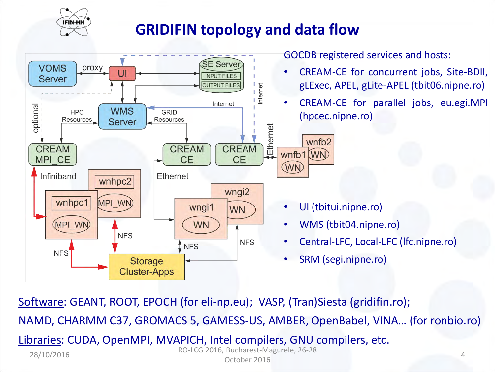

### **GRIDIFIN topology and data flow**

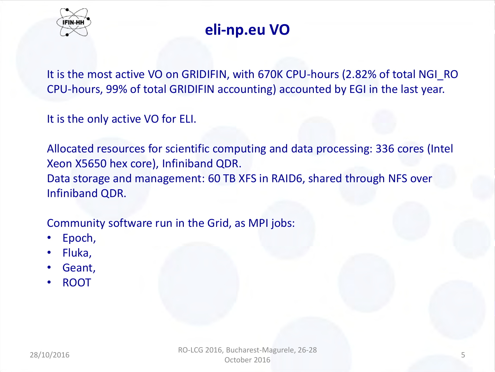

# **eli-np.eu VO**

It is the most active VO on GRIDIFIN, with 670K CPU-hours (2.82% of total NGI\_RO CPU-hours, 99% of total GRIDIFIN accounting) accounted by EGI in the last year.

It is the only active VO for ELI.

Allocated resources for scientific computing and data processing: 336 cores (Intel Xeon X5650 hex core), Infiniband QDR. Data storage and management: 60 TB XFS in RAID6, shared through NFS over Infiniband QDR.

Community software run in the Grid, as MPI jobs:

- Epoch,
- Fluka,
- Geant,
- ROOT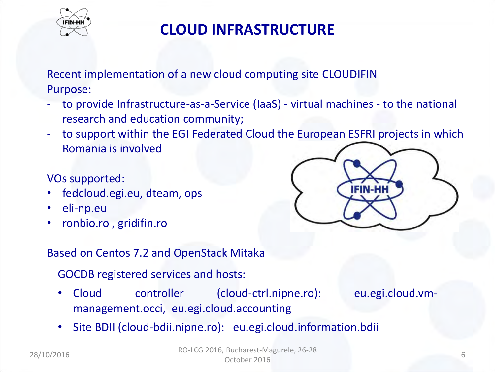

Recent implementation of a new cloud computing site CLOUDIFIN Purpose:

- to provide Infrastructure-as-a-Service (IaaS) virtual machines to the national research and education community;
- to support within the EGI Federated Cloud the European ESFRI projects in which Romania is involved

VOs supported:

- fedcloud.egi.eu, dteam, ops
- eli-np.eu
- ronbio.ro , gridifin.ro

#### Based on Centos 7.2 and OpenStack Mitaka

GOCDB registered services and hosts:

• Cloud controller (cloud-ctrl.nipne.ro): eu.egi.cloud.vmmanagement.occi, eu.egi.cloud.accounting

• Site BDII (cloud-bdii.nipne.ro): eu.egi.cloud.information.bdii

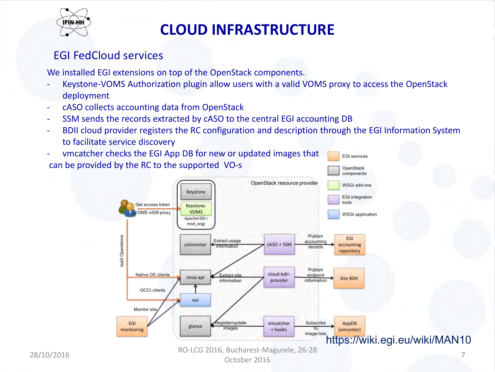

#### EGI FedCloud services

We installed EGI extensions on top of the OpenStack components.

- Keystone-VOMS Authorization plugin allow users with a valid VOMS proxy to access the OpenStack deployment
- cASO collects accounting data from OpenStack
- SSM sends the records extracted by cASO to the central EGI accounting DB
- BDII cloud provider registers the RC configuration and description through the EGI Information System to facilitate service discovery
- vmcatcher checks the EGI App DB for new or updated images that **EGI services** can be provided by the RC to the supported VO-s OpenStack components OpenStack resource provider **WSGI add-ons** Keystone **EGI** integration tools Get access token Keystone-

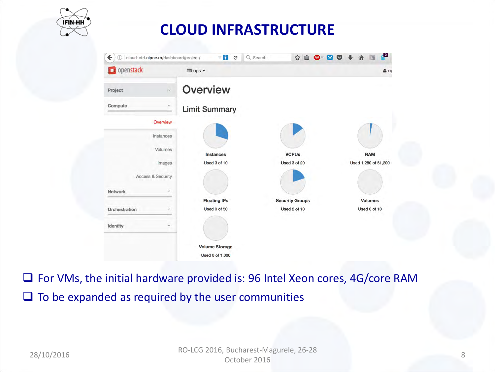

| popenstack                         | gops =                |                        | $\triangleq$ or      |
|------------------------------------|-----------------------|------------------------|----------------------|
| Project<br>$\widehat{\phantom{a}}$ | Overview              |                        |                      |
| Compute<br>$\scriptstyle\wedge$    | <b>Limit Summary</b>  |                        |                      |
| Overview                           |                       |                        |                      |
| Instances                          |                       |                        |                      |
| Volumes                            | Instances             | <b>VCPUs</b>           | <b>RAM</b>           |
| Images                             | Used 3 of 10          | Used 3 of 20           | Used 1,280 of 51,200 |
| Access & Security                  |                       |                        |                      |
| <b>Network</b><br>$\vee$           |                       |                        |                      |
|                                    | <b>Floating IPs</b>   | <b>Security Groups</b> | <b>Volumes</b>       |
| Orchestration<br>×                 | Used 0 of 50          | Used 2 of 10           | Used 0 of 10         |
| $\checkmark$<br>Identity           |                       |                        |                      |
|                                    | <b>Volume Storage</b> |                        |                      |
|                                    | Used 0 of 1,000       |                        |                      |

□ For VMs, the initial hardware provided is: 96 Intel Xeon cores, 4G/core RAM  $\Box$  To be expanded as required by the user communities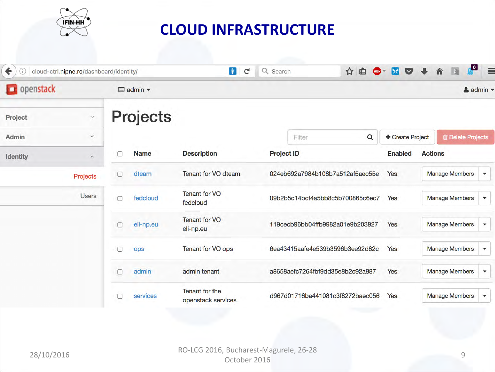

| $\leftarrow$<br>(i) | cloud-ctrl.nipne.ro/dashboard/identity/ |        |                                            | n<br>$\mathbf{C}$                    | Q Search          |        | 自<br>☆<br>$ABP =$                |                  | $\cdot$<br>$\equiv$<br><b>DIA</b>                 |
|---------------------|-----------------------------------------|--------|--------------------------------------------|--------------------------------------|-------------------|--------|----------------------------------|------------------|---------------------------------------------------|
| openstack           |                                         |        | $\blacksquare$ admin $\blacktriangleright$ |                                      |                   |        |                                  |                  | $\triangle$ admin $\blacktriangledown$            |
| Project             | $\check{~}$                             |        | <b>Projects</b>                            |                                      |                   |        |                                  |                  |                                                   |
| <b>Admin</b>        | $\checkmark$                            |        |                                            |                                      |                   | Filter | $\alpha$                         | + Create Project | <b><i>ff</i></b> Delete Projects                  |
| <b>Identity</b>     | $\boldsymbol{\wedge}$                   |        | <b>Name</b>                                | <b>Description</b>                   | <b>Project ID</b> |        |                                  | <b>Enabled</b>   | <b>Actions</b>                                    |
|                     | Projects                                |        | dteam                                      | Tenant for VO dteam                  |                   |        | 024eb692a7984b108b7a512af5aec55e | Yes              | <b>Manage Members</b><br>$\overline{\phantom{a}}$ |
|                     | <b>Users</b>                            | $\Box$ | fedcloud                                   | <b>Tenant for VO</b><br>fedcloud     |                   |        | 09b2b5c14bcf4a5bb8c5b700865c6ec7 | Yes              | <b>Manage Members</b><br>$\blacktriangledown$     |
|                     |                                         |        | eli-np.eu                                  | <b>Tenant for VO</b><br>eli-np.eu    |                   |        | 119cecb96bb04ffb9982a01e9b203927 | Yes              | <b>Manage Members</b><br>▼                        |
|                     |                                         |        | ops                                        | Tenant for VO ops                    |                   |        | 6ea43415aafe4e539b3596b3ee92d82c | Yes              | <b>Manage Members</b><br>$\overline{\mathbf{v}}$  |
|                     |                                         |        | admin                                      | admin tenant                         |                   |        | a8658aefc7264fbf9dd35e8b2c92a987 | Yes              | <b>Manage Members</b><br>$\blacktriangledown$     |
|                     |                                         |        | services                                   | Tenant for the<br>openstack services |                   |        | d967d01716ba441081c3f8272baec056 | Yes              | <b>Manage Members</b><br>$\overline{\phantom{a}}$ |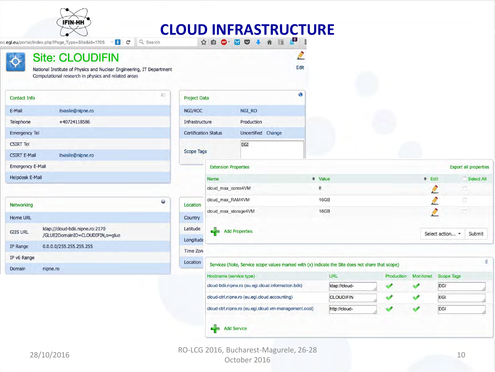

oc.egi.eu/portal/index.php?Page\_Type=Site&id=1705

 $\mathbb{E}^*$ 

Locatio

#### **Site: CLOUDIFIN**

National Institute of Physics and Nuclear Engineering, IT Department Computational research in physics and related areas

| <b>Contact Info</b>     |                   |
|-------------------------|-------------------|
| E-Mail                  | itvasile@nipne.ro |
| Telephone               | +40724118586      |
| <b>Emergency Tel</b>    |                   |
| <b>CSIRT Tel</b>        |                   |
| <b>CSIRT E-Mail</b>     | itvasile@nipne.ro |
| <b>Emergency E-Mail</b> |                   |
| <b>Helpdesk E-Mail</b>  |                   |

| Networking      |                                                                    |  |
|-----------------|--------------------------------------------------------------------|--|
| Home URL        |                                                                    |  |
| <b>GIIS URL</b> | Idap://cloud-bdii.nipne.ro:2170<br>/GLUE2DomainID=CLOUDIFIN,o=qlue |  |
| IP Range        | 0.0.0.0/255.255.255.255                                            |  |
| IP v6 Range     |                                                                    |  |
| Domain          | nipne.ro                                                           |  |
|                 |                                                                    |  |

| <b>Project Data</b>         |                    |  |
|-----------------------------|--------------------|--|
|                             |                    |  |
| NGI/ROC                     | NGI_RO             |  |
| Infrastructure              | Production         |  |
| <b>Certification Status</b> | Uncertified Change |  |
|                             | EGI                |  |
| <b>Scope Tags</b>           |                    |  |

|           | <b>Extension Properties</b> |              |                 | <b>Export all properties</b> |
|-----------|-----------------------------|--------------|-----------------|------------------------------|
|           | <b>Name</b>                 | $\div$ Value | $\div$ Edit     | Select All                   |
|           | cloud_max_cores4VM          | 8            |                 | n                            |
| Location  | cloud max RAM4VM            | 16GB         |                 | ο                            |
| Country   | cloud max storage4VM        | <b>16GB</b>  |                 | w                            |
| Latitude  | <b>Add Properties</b>       |              | Select action • | Submit                       |
| Longitude |                             |              |                 |                              |
| Time Zon  |                             |              |                 |                              |

| ות | Services (Note, Service scope values marked with (x) indicate the Site does not share that scope) |  |  |  |  |  |  |  |  |
|----|---------------------------------------------------------------------------------------------------|--|--|--|--|--|--|--|--|
|----|---------------------------------------------------------------------------------------------------|--|--|--|--|--|--|--|--|

Edit

| Hostname (service type)                               | URL              | Production | <b>Monitored</b> | <b>Scope Tags</b> |
|-------------------------------------------------------|------------------|------------|------------------|-------------------|
| cloud-bdii.nipne.ro (eu.egi.cloud.information.bdii)   | Idap://cloud-    |            |                  | <b>EGI</b>        |
| cloud-ctrl.nipne.ro (eu.egi.cloud.accounting)         | <b>CLOUDIFIN</b> |            |                  | <b>EGI</b>        |
| cloud-ctrl.nipne.ro (eu.egi.cloud.vm-management.occi) | http://cloud-    |            |                  | EGI               |
|                                                       |                  |            |                  |                   |

**Add Service** 

43

Ø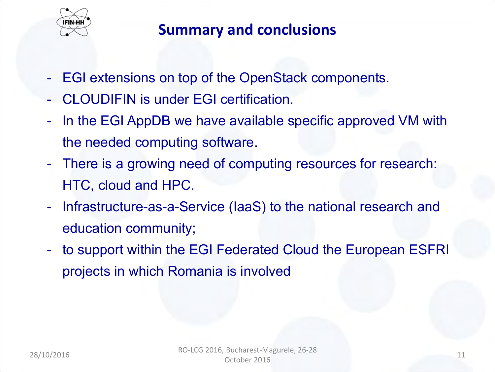

## **Summary and conclusions**

- EGI extensions on top of the OpenStack components.
- CLOUDIFIN is under EGI certification.
- In the EGI AppDB we have available specific approved VM with the needed computing software.
- There is a growing need of computing resources for research: HTC, cloud and HPC.
- Infrastructure-as-a-Service (IaaS) to the national research and education community;
- to support within the EGI Federated Cloud the European ESFRI projects in which Romania is involved